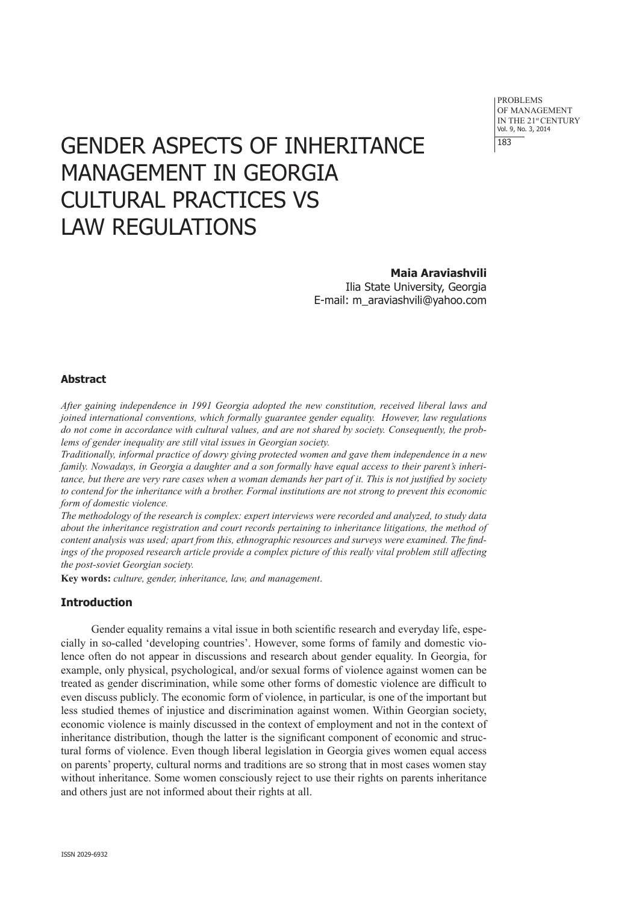problems of Management IN THE 21st CENTURY Vol. 9, No. 3, 2014 183

# GENDER ASPECTS OF INHERITANCE MANAGEMENT IN GEORGIA CULTURAL PRACTICES VS LAW REGULATIONS

**Maia Araviashvili** Ilia State University, Georgia E-mail: m\_araviashvili@yahoo.com

# **Abstract**

*After gaining independence in 1991 Georgia adopted the new constitution, received liberal laws and joined international conventions, which formally guarantee gender equality. However, law regulations do not come in accordance with cultural values, and are not shared by society. Consequently, the problems of gender inequality are still vital issues in Georgian society.*

*Traditionally, informal practice of dowry giving protected women and gave them independence in a new family. Nowadays, in Georgia a daughter and a son formally have equal access to their parent's inheritance, but there are very rare cases when a woman demands her part of it. This is not justified by society to contend for the inheritance with a brother. Formal institutions are not strong to prevent this economic form of domestic violence.*

*The methodology of the research is complex: expert interviews were recorded and analyzed, to study data about the inheritance registration and court records pertaining to inheritance litigations, the method of content analysis was used; apart from this, ethnographic resources and surveys were examined. The findings of the proposed research article provide a complex picture of this really vital problem still affecting the post-soviet Georgian society.* 

**Key words:** *culture, gender, inheritance, law, and management*.

# **Introduction**

Gender equality remains a vital issue in both scientific research and everyday life, especially in so-called 'developing countries'. However, some forms of family and domestic violence often do not appear in discussions and research about gender equality. In Georgia, for example, only physical, psychological, and/or sexual forms of violence against women can be treated as gender discrimination, while some other forms of domestic violence are difficult to even discuss publicly. The economic form of violence, in particular, is one of the important but less studied themes of injustice and discrimination against women. Within Georgian society, economic violence is mainly discussed in the context of employment and not in the context of inheritance distribution, though the latter is the significant component of economic and structural forms of violence. Even though liberal legislation in Georgia gives women equal access on parents' property, cultural norms and traditions are so strong that in most cases women stay without inheritance. Some women consciously reject to use their rights on parents inheritance and others just are not informed about their rights at all.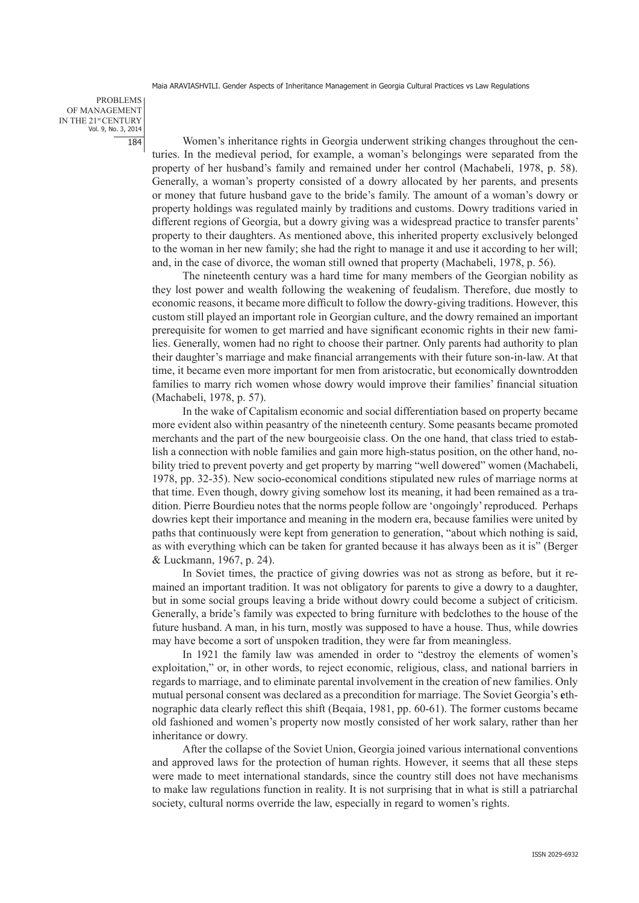problems of Management IN THE 21st CENTURY Vol. 9, No. 3, 2014 184

Women's inheritance rights in Georgia underwent striking changes throughout the centuries. In the medieval period, for example, a woman's belongings were separated from the property of her husband's family and remained under her control (Machabeli, 1978, p. 58). Generally, a woman's property consisted of a dowry allocated by her parents, and presents or money that future husband gave to the bride's family. The amount of a woman's dowry or property holdings was regulated mainly by traditions and customs. Dowry traditions varied in different regions of Georgia, but a dowry giving was a widespread practice to transfer parents' property to their daughters. As mentioned above, this inherited property exclusively belonged to the woman in her new family; she had the right to manage it and use it according to her will; and, in the case of divorce, the woman still owned that property (Machabeli, 1978, p. 56).

The nineteenth century was a hard time for many members of the Georgian nobility as they lost power and wealth following the weakening of feudalism. Therefore, due mostly to economic reasons, it became more difficult to follow the dowry-giving traditions. However, this custom still played an important role in Georgian culture, and the dowry remained an important prerequisite for women to get married and have significant economic rights in their new families. Generally, women had no right to choose their partner. Only parents had authority to plan their daughter's marriage and make financial arrangements with their future son-in-law. At that time, it became even more important for men from aristocratic, but economically downtrodden families to marry rich women whose dowry would improve their families' financial situation (Machabeli, 1978, p. 57).

In the wake of Capitalism economic and social differentiation based on property became more evident also within peasantry of the nineteenth century. Some peasants became promoted merchants and the part of the new bourgeoisie class. On the one hand, that class tried to establish a connection with noble families and gain more high-status position, on the other hand, nobility tried to prevent poverty and get property by marring "well dowered" women (Machabeli, 1978, pp. 32-35). New socio-economical conditions stipulated new rules of marriage norms at that time. Even though, dowry giving somehow lost its meaning, it had been remained as a tradition. Pierre Bourdieu notes that the norms people follow are 'ongoingly' reproduced. Perhaps dowries kept their importance and meaning in the modern era, because families were united by paths that continuously were kept from generation to generation, "about which nothing is said, as with everything which can be taken for granted because it has always been as it is" (Berger & Luckmann, 1967, p. 24).

In Soviet times, the practice of giving dowries was not as strong as before, but it remained an important tradition. It was not obligatory for parents to give a dowry to a daughter, but in some social groups leaving a bride without dowry could become a subject of criticism. Generally, a bride's family was expected to bring furniture with bedclothes to the house of the future husband. A man, in his turn, mostly was supposed to have a house. Thus, while dowries may have become a sort of unspoken tradition, they were far from meaningless.

In 1921 the family law was amended in order to "destroy the elements of women's exploitation," or, in other words, to reject economic, religious, class, and national barriers in regards to marriage, and to eliminate parental involvement in the creation of new families. Only mutual personal consent was declared as a precondition for marriage. The Soviet Georgia's **e**thnographic data clearly reflect this shift (Beqaia, 1981, pp. 60-61). The former customs became old fashioned and women's property now mostly consisted of her work salary, rather than her inheritance or dowry.

After the collapse of the Soviet Union, Georgia joined various international conventions and approved laws for the protection of human rights. However, it seems that all these steps were made to meet international standards, since the country still does not have mechanisms to make law regulations function in reality. It is not surprising that in what is still a patriarchal society, cultural norms override the law, especially in regard to women's rights.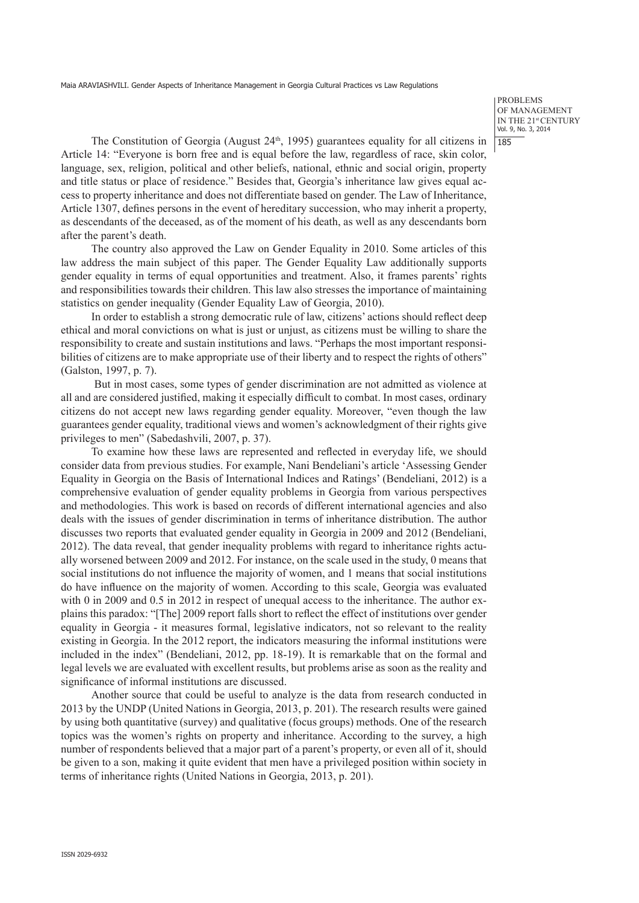problems of Management IN THE 21st CENTURY Vol. 9, No. 3, 2014 185

The Constitution of Georgia (August  $24<sup>th</sup>$ , 1995) guarantees equality for all citizens in Article 14: "Everyone is born free and is equal before the law, regardless of race, skin color, language, sex, religion, political and other beliefs, national, ethnic and social origin, property and title status or place of residence." Besides that, Georgia's inheritance law gives equal access to property inheritance and does not differentiate based on gender. The Law of Inheritance, Article 1307, defines persons in the event of hereditary succession, who may inherit a property, as descendants of the deceased, as of the moment of his death, as well as any descendants born after the parent's death.

The country also approved the Law on Gender Equality in 2010. Some articles of this law address the main subject of this paper. The Gender Equality Law additionally supports gender equality in terms of equal opportunities and treatment. Also, it frames parents' rights and responsibilities towards their children. This law also stresses the importance of maintaining statistics on gender inequality (Gender Equality Law of Georgia, 2010).

In order to establish a strong democratic rule of law, citizens' actions should reflect deep ethical and moral convictions on what is just or unjust, as citizens must be willing to share the responsibility to create and sustain institutions and laws. "Perhaps the most important responsibilities of citizens are to make appropriate use of their liberty and to respect the rights of others" (Galston, 1997, p. 7).

But in most cases, some types of gender discrimination are not admitted as violence at all and are considered justified, making it especially difficult to combat. In most cases, ordinary citizens do not accept new laws regarding gender equality. Moreover, "even though the law guarantees gender equality, traditional views and women's acknowledgment of their rights give privileges to men" (Sabedashvili, 2007, p. 37).

To examine how these laws are represented and reflected in everyday life, we should consider data from previous studies. For example, Nani Bendeliani's article 'Assessing Gender Equality in Georgia on the Basis of International Indices and Ratings' (Bendeliani, 2012) is a comprehensive evaluation of gender equality problems in Georgia from various perspectives and methodologies. This work is based on records of different international agencies and also deals with the issues of gender discrimination in terms of inheritance distribution. The author discusses two reports that evaluated gender equality in Georgia in 2009 and 2012 (Bendeliani, 2012). The data reveal, that gender inequality problems with regard to inheritance rights actually worsened between 2009 and 2012. For instance, on the scale used in the study, 0 means that social institutions do not influence the majority of women, and 1 means that social institutions do have influence on the majority of women. According to this scale, Georgia was evaluated with 0 in 2009 and 0.5 in 2012 in respect of unequal access to the inheritance. The author explains this paradox: "[The] 2009 report falls short to reflect the effect of institutions over gender equality in Georgia - it measures formal, legislative indicators, not so relevant to the reality existing in Georgia. In the 2012 report, the indicators measuring the informal institutions were included in the index" (Bendeliani, 2012, pp. 18-19). It is remarkable that on the formal and legal levels we are evaluated with excellent results, but problems arise as soon as the reality and significance of informal institutions are discussed.

Another source that could be useful to analyze is the data from research conducted in 2013 by the UNDP (United Nations in Georgia, 2013, p. 201). The research results were gained by using both quantitative (survey) and qualitative (focus groups) methods. One of the research topics was the women's rights on property and inheritance. According to the survey, a high number of respondents believed that a major part of a parent's property, or even all of it, should be given to a son, making it quite evident that men have a privileged position within society in terms of inheritance rights (United Nations in Georgia, 2013, p. 201).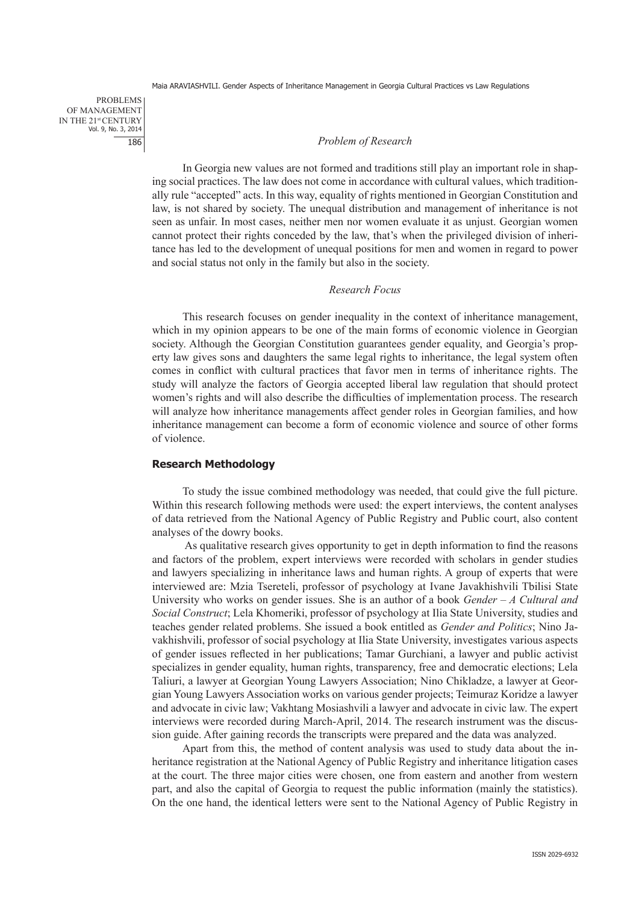problems of Management IN THE 21st CENTURY Vol. 9, No. 3, 2014 186

#### *Problem of Research*

In Georgia new values are not formed and traditions still play an important role in shaping social practices. The law does not come in accordance with cultural values, which traditionally rule "accepted" acts. In this way, equality of rights mentioned in Georgian Constitution and law, is not shared by society. The unequal distribution and management of inheritance is not seen as unfair. In most cases, neither men nor women evaluate it as unjust. Georgian women cannot protect their rights conceded by the law, that's when the privileged division of inheritance has led to the development of unequal positions for men and women in regard to power and social status not only in the family but also in the society.

### *Research Focus*

This research focuses on gender inequality in the context of inheritance management, which in my opinion appears to be one of the main forms of economic violence in Georgian society. Although the Georgian Constitution guarantees gender equality, and Georgia's property law gives sons and daughters the same legal rights to inheritance, the legal system often comes in conflict with cultural practices that favor men in terms of inheritance rights. The study will analyze the factors of Georgia accepted liberal law regulation that should protect women's rights and will also describe the difficulties of implementation process. The research will analyze how inheritance managements affect gender roles in Georgian families, and how inheritance management can become a form of economic violence and source of other forms of violence.

## **Research Methodology**

To study the issue combined methodology was needed, that could give the full picture. Within this research following methods were used: the expert interviews, the content analyses of data retrieved from the National Agency of Public Registry and Public court, also content analyses of the dowry books.

 As qualitative research gives opportunity to get in depth information to find the reasons and factors of the problem, expert interviews were recorded with scholars in gender studies and lawyers specializing in inheritance laws and human rights. A group of experts that were interviewed are: Mzia Tsereteli, professor of psychology at Ivane Javakhishvili Tbilisi State University who works on gender issues. She is an author of a book *Gender – A Cultural and Social Construct*; Lela Khomeriki, professor of psychology at Ilia State University, studies and teaches gender related problems. She issued a book entitled as *Gender and Politics*; Nino Javakhishvili, professor of social psychology at Ilia State University, investigates various aspects of gender issues reflected in her publications; Tamar Gurchiani, a lawyer and public activist specializes in gender equality, human rights, transparency, free and democratic elections; Lela Taliuri, a lawyer at Georgian Young Lawyers Association; Nino Chikladze, a lawyer at Georgian Young Lawyers Association works on various gender projects; Teimuraz Koridze a lawyer and advocate in civic law; Vakhtang Mosiashvili a lawyer and advocate in civic law. The expert interviews were recorded during March-April, 2014. The research instrument was the discussion guide. After gaining records the transcripts were prepared and the data was analyzed.

Apart from this, the method of content analysis was used to study data about the inheritance registration at the National Agency of Public Registry and inheritance litigation cases at the court. The three major cities were chosen, one from eastern and another from western part, and also the capital of Georgia to request the public information (mainly the statistics). On the one hand, the identical letters were sent to the National Agency of Public Registry in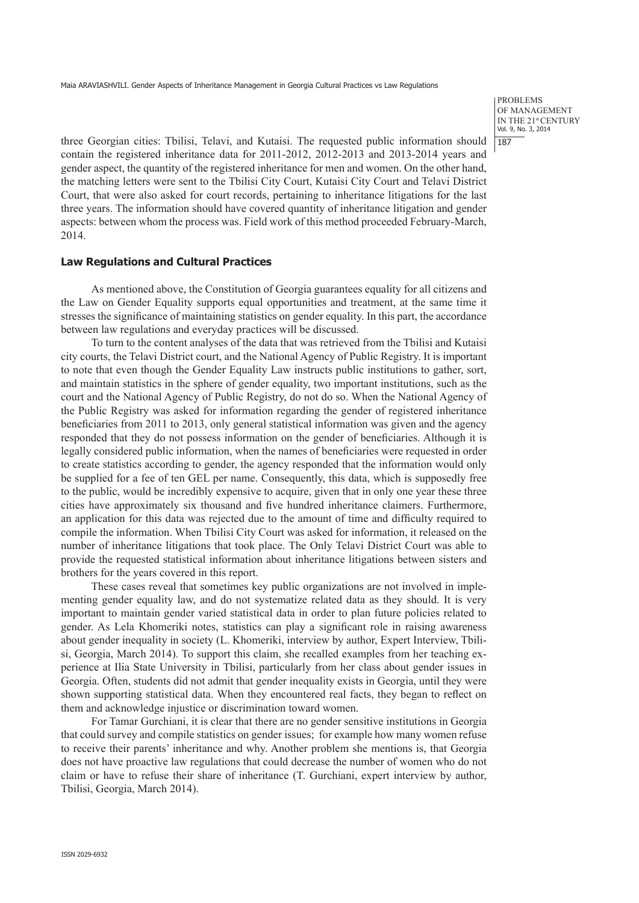problems of Management IN THE 21st CENTURY Vol. 9, No. 3, 2014 | 187

three Georgian cities: Tbilisi, Telavi, and Kutaisi. The requested public information should contain the registered inheritance data for 2011-2012, 2012-2013 and 2013-2014 years and gender aspect, the quantity of the registered inheritance for men and women. On the other hand, the matching letters were sent to the Tbilisi City Court, Kutaisi City Court and Telavi District Court, that were also asked for court records, pertaining to inheritance litigations for the last three years. The information should have covered quantity of inheritance litigation and gender aspects: between whom the process was. Field work of this method proceeded February-March, 2014.

### **Law Regulations and Cultural Practices**

As mentioned above, the Constitution of Georgia guarantees equality for all citizens and the Law on Gender Equality supports equal opportunities and treatment, at the same time it stresses the significance of maintaining statistics on gender equality. In this part, the accordance between law regulations and everyday practices will be discussed.

To turn to the content analyses of the data that was retrieved from the Tbilisi and Kutaisi city courts, the Telavi District court, and the National Agency of Public Registry. It is important to note that even though the Gender Equality Law instructs public institutions to gather, sort, and maintain statistics in the sphere of gender equality, two important institutions, such as the court and the National Agency of Public Registry, do not do so. When the National Agency of the Public Registry was asked for information regarding the gender of registered inheritance beneficiaries from 2011 to 2013, only general statistical information was given and the agency responded that they do not possess information on the gender of beneficiaries. Although it is legally considered public information, when the names of beneficiaries were requested in order to create statistics according to gender, the agency responded that the information would only be supplied for a fee of ten GEL per name. Consequently, this data, which is supposedly free to the public, would be incredibly expensive to acquire, given that in only one year these three cities have approximately six thousand and five hundred inheritance claimers. Furthermore, an application for this data was rejected due to the amount of time and difficulty required to compile the information. When Tbilisi City Court was asked for information, it released on the number of inheritance litigations that took place. The Only Telavi District Court was able to provide the requested statistical information about inheritance litigations between sisters and brothers for the years covered in this report.

These cases reveal that sometimes key public organizations are not involved in implementing gender equality law, and do not systematize related data as they should. It is very important to maintain gender varied statistical data in order to plan future policies related to gender. As Lela Khomeriki notes, statistics can play a significant role in raising awareness about gender inequality in society (L. Khomeriki, interview by author, Expert Interview, Tbilisi, Georgia, March 2014). To support this claim, she recalled examples from her teaching experience at Ilia State University in Tbilisi, particularly from her class about gender issues in Georgia. Often, students did not admit that gender inequality exists in Georgia, until they were shown supporting statistical data. When they encountered real facts, they began to reflect on them and acknowledge injustice or discrimination toward women.

For Tamar Gurchiani, it is clear that there are no gender sensitive institutions in Georgia that could survey and compile statistics on gender issues; for example how many women refuse to receive their parents' inheritance and why. Another problem she mentions is, that Georgia does not have proactive law regulations that could decrease the number of women who do not claim or have to refuse their share of inheritance (T. Gurchiani, expert interview by author, Tbilisi, Georgia, March 2014).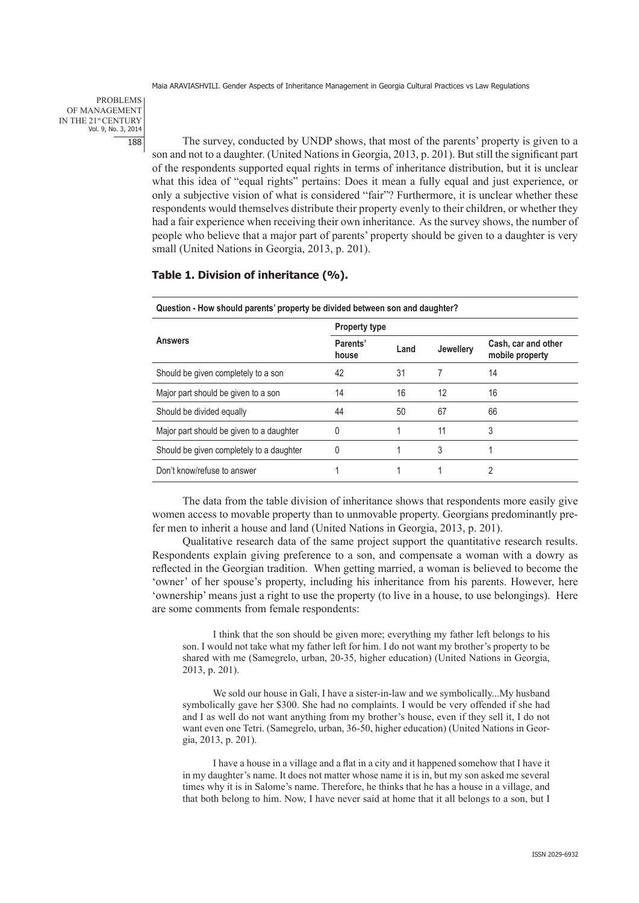problems of Management IN THE 21st CENTURY Vol. 9, No. 3, 2014 188

The survey, conducted by UNDP shows, that most of the parents' property is given to a son and not to a daughter. (United Nations in Georgia, 2013, p. 201). But still the significant part of the respondents supported equal rights in terms of inheritance distribution, but it is unclear what this idea of "equal rights" pertains: Does it mean a fully equal and just experience, or only a subjective vision of what is considered "fair"? Furthermore, it is unclear whether these respondents would themselves distribute their property evenly to their children, or whether they had a fair experience when receiving their own inheritance. As the survey shows, the number of people who believe that a major part of parents' property should be given to a daughter is very small (United Nations in Georgia, 2013, p. 201).

# **Table 1. Division of inheritance (%).**

| <b>Property type</b> |      |                  |                                        |
|----------------------|------|------------------|----------------------------------------|
| Parents'<br>house    | Land | <b>Jewellery</b> | Cash, car and other<br>mobile property |
| 42                   | 31   |                  | 14                                     |
| 14                   | 16   | 12               | 16                                     |
| 44                   | 50   | 67               | 66                                     |
| 0                    |      | 11               | 3                                      |
| 0                    |      | 3                |                                        |
|                      |      |                  | 2                                      |
|                      |      |                  |                                        |

The data from the table division of inheritance shows that respondents more easily give women access to movable property than to unmovable property. Georgians predominantly prefer men to inherit a house and land (United Nations in Georgia, 2013, p. 201).

Qualitative research data of the same project support the quantitative research results. Respondents explain giving preference to a son, and compensate a woman with a dowry as reflected in the Georgian tradition. When getting married, a woman is believed to become the 'owner' of her spouse's property, including his inheritance from his parents. However, here 'ownership' means just a right to use the property (to live in a house, to use belongings). Here are some comments from female respondents:

I think that the son should be given more; everything my father left belongs to his son. I would not take what my father left for him. I do not want my brother's property to be shared with me (Samegrelo, urban, 20-35, higher education) (United Nations in Georgia, 2013, p. 201).

We sold our house in Gali. I have a sister-in-law and we symbolically...My husband symbolically gave her \$300. She had no complaints. I would be very offended if she had and I as well do not want anything from my brother's house, even if they sell it, I do not want even one Tetri. (Samegrelo, urban, 36-50, higher education) (United Nations in Georgia, 2013, p. 201).

I have a house in a village and a flat in a city and it happened somehow that I have it in my daughter's name. It does not matter whose name it is in, but my son asked me several times why it is in Salome's name. Therefore, he thinks that he has a house in a village, and that both belong to him. Now, I have never said at home that it all belongs to a son, but I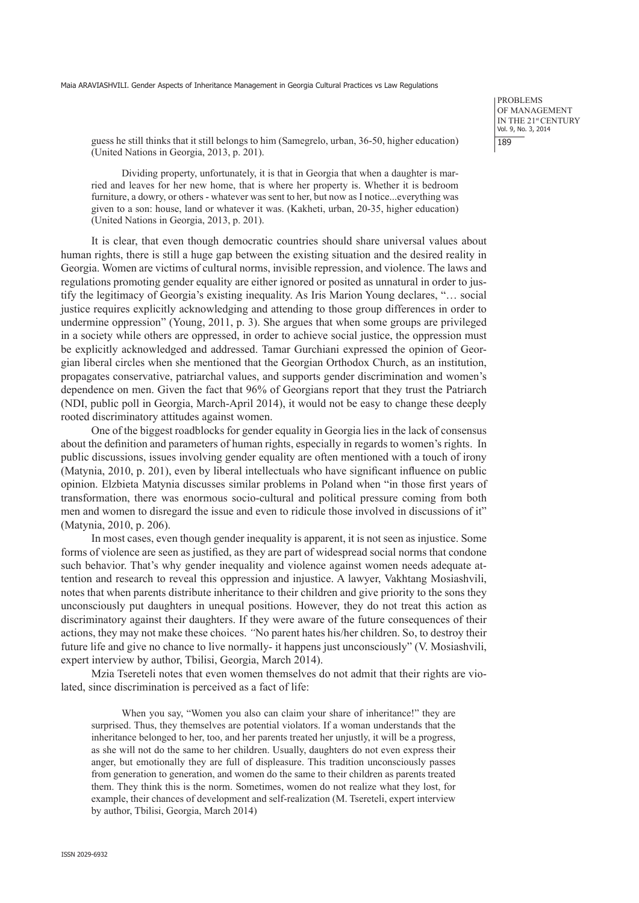problems of Management IN THE 21st CENTURY Vol. 9, No. 3, 2014 189

guess he still thinks that it still belongs to him (Samegrelo, urban, 36-50, higher education) (United Nations in Georgia, 2013, p. 201).

Dividing property, unfortunately, it is that in Georgia that when a daughter is married and leaves for her new home, that is where her property is. Whether it is bedroom furniture, a dowry, or others - whatever was sent to her, but now as I notice...everything was given to a son: house, land or whatever it was. (Kakheti, urban, 20-35, higher education) (United Nations in Georgia, 2013, p. 201).

It is clear, that even though democratic countries should share universal values about human rights, there is still a huge gap between the existing situation and the desired reality in Georgia. Women are victims of cultural norms, invisible repression, and violence. The laws and regulations promoting gender equality are either ignored or posited as unnatural in order to justify the legitimacy of Georgia's existing inequality. As Iris Marion Young declares, "… social justice requires explicitly acknowledging and attending to those group differences in order to undermine oppression" (Young, 2011, p. 3). She argues that when some groups are privileged in a society while others are oppressed, in order to achieve social justice, the oppression must be explicitly acknowledged and addressed. Tamar Gurchiani expressed the opinion of Georgian liberal circles when she mentioned that the Georgian Orthodox Church, as an institution, propagates conservative, patriarchal values, and supports gender discrimination and women's dependence on men. Given the fact that 96% of Georgians report that they trust the Patriarch (NDI, public poll in Georgia, March-April 2014), it would not be easy to change these deeply rooted discriminatory attitudes against women.

One of the biggest roadblocks for gender equality in Georgia lies in the lack of consensus about the definition and parameters of human rights, especially in regards to women's rights. In public discussions, issues involving gender equality are often mentioned with a touch of irony (Matynia, 2010, p. 201), even by liberal intellectuals who have significant influence on public opinion. Elzbieta Matynia discusses similar problems in Poland when "in those first years of transformation, there was enormous socio-cultural and political pressure coming from both men and women to disregard the issue and even to ridicule those involved in discussions of it" (Matynia, 2010, p. 206).

In most cases, even though gender inequality is apparent, it is not seen as injustice. Some forms of violence are seen as justified, as they are part of widespread social norms that condone such behavior. That's why gender inequality and violence against women needs adequate attention and research to reveal this oppression and injustice. A lawyer, Vakhtang Mosiashvili, notes that when parents distribute inheritance to their children and give priority to the sons they unconsciously put daughters in unequal positions. However, they do not treat this action as discriminatory against their daughters. If they were aware of the future consequences of their actions, they may not make these choices. *"*No parent hates his/her children. So, to destroy their future life and give no chance to live normally- it happens just unconsciously" (V. Mosiashvili, expert interview by author, Tbilisi, Georgia, March 2014).

Mzia Tsereteli notes that even women themselves do not admit that their rights are violated, since discrimination is perceived as a fact of life:

When you say, "Women you also can claim your share of inheritance!" they are surprised. Thus, they themselves are potential violators. If a woman understands that the inheritance belonged to her, too, and her parents treated her unjustly, it will be a progress, as she will not do the same to her children. Usually, daughters do not even express their anger, but emotionally they are full of displeasure. This tradition unconsciously passes from generation to generation, and women do the same to their children as parents treated them. They think this is the norm. Sometimes, women do not realize what they lost, for example, their chances of development and self-realization (M. Tsereteli, expert interview by author, Tbilisi, Georgia, March 2014)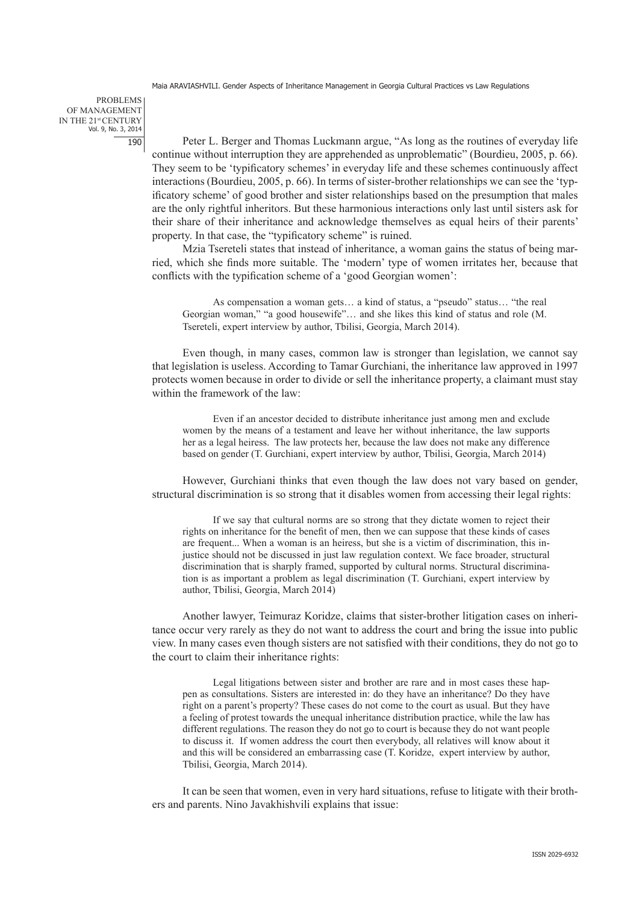#### problems of Management IN THE 21st CENTURY Vol. 9, No. 3, 2014 190

Peter L. Berger and Thomas Luckmann argue, "As long as the routines of everyday life continue without interruption they are apprehended as unproblematic" (Bourdieu, 2005, p. 66). They seem to be 'typificatory schemes' in everyday life and these schemes continuously affect interactions (Bourdieu, 2005, p. 66). In terms of sister-brother relationships we can see the 'typificatory scheme' of good brother and sister relationships based on the presumption that males are the only rightful inheritors. But these harmonious interactions only last until sisters ask for their share of their inheritance and acknowledge themselves as equal heirs of their parents' property. In that case, the "typificatory scheme" is ruined.

Mzia Tsereteli states that instead of inheritance, a woman gains the status of being married, which she finds more suitable. The 'modern' type of women irritates her, because that conflicts with the typification scheme of a 'good Georgian women':

As compensation a woman gets… a kind of status, a "pseudo" status… "the real Georgian woman," "a good housewife"… and she likes this kind of status and role (M. Tsereteli, expert interview by author, Tbilisi, Georgia, March 2014).

Even though, in many cases, common law is stronger than legislation, we cannot say that legislation is useless. According to Tamar Gurchiani, the inheritance law approved in 1997 protects women because in order to divide or sell the inheritance property, a claimant must stay within the framework of the law:

Even if an ancestor decided to distribute inheritance just among men and exclude women by the means of a testament and leave her without inheritance, the law supports her as a legal heiress. The law protects her, because the law does not make any difference based on gender (T. Gurchiani, expert interview by author, Tbilisi, Georgia, March 2014)

However, Gurchiani thinks that even though the law does not vary based on gender, structural discrimination is so strong that it disables women from accessing their legal rights:

If we say that cultural norms are so strong that they dictate women to reject their rights on inheritance for the benefit of men, then we can suppose that these kinds of cases are frequent... When a woman is an heiress, but she is a victim of discrimination, this injustice should not be discussed in just law regulation context. We face broader, structural discrimination that is sharply framed, supported by cultural norms. Structural discrimination is as important a problem as legal discrimination (T. Gurchiani, expert interview by author, Tbilisi, Georgia, March 2014)

Another lawyer, Teimuraz Koridze, claims that sister-brother litigation cases on inheritance occur very rarely as they do not want to address the court and bring the issue into public view. In many cases even though sisters are not satisfied with their conditions, they do not go to the court to claim their inheritance rights:

Legal litigations between sister and brother are rare and in most cases these happen as consultations. Sisters are interested in: do they have an inheritance? Do they have right on a parent's property? These cases do not come to the court as usual. But they have a feeling of protest towards the unequal inheritance distribution practice, while the law has different regulations. The reason they do not go to court is because they do not want people to discuss it. If women address the court then everybody, all relatives will know about it and this will be considered an embarrassing case (T. Koridze, expert interview by author, Tbilisi, Georgia, March 2014).

It can be seen that women, even in very hard situations, refuse to litigate with their brothers and parents. Nino Javakhishvili explains that issue: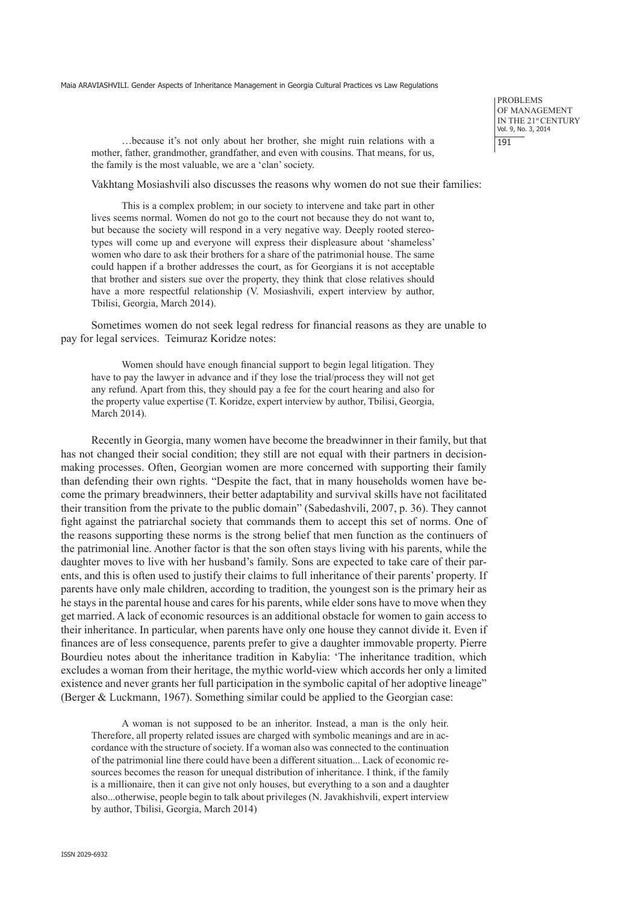problems of Management IN THE 21st CENTURY Vol. 9, No. 3, 2014 191

…because it's not only about her brother, she might ruin relations with a mother, father, grandmother, grandfather, and even with cousins. That means, for us, the family is the most valuable, we are a 'clan' society.

Vakhtang Mosiashvili also discusses the reasons why women do not sue their families:

This is a complex problem; in our society to intervene and take part in other lives seems normal. Women do not go to the court not because they do not want to, but because the society will respond in a very negative way. Deeply rooted stereotypes will come up and everyone will express their displeasure about 'shameless' women who dare to ask their brothers for a share of the patrimonial house. The same could happen if a brother addresses the court, as for Georgians it is not acceptable that brother and sisters sue over the property, they think that close relatives should have a more respectful relationship (V. Mosiashvili, expert interview by author, Tbilisi, Georgia, March 2014).

Sometimes women do not seek legal redress for financial reasons as they are unable to pay for legal services. Teimuraz Koridze notes:

Women should have enough financial support to begin legal litigation. They have to pay the lawyer in advance and if they lose the trial/process they will not get any refund. Apart from this, they should pay a fee for the court hearing and also for the property value expertise (T. Koridze, expert interview by author, Tbilisi, Georgia, March 2014).

Recently in Georgia, many women have become the breadwinner in their family, but that has not changed their social condition; they still are not equal with their partners in decisionmaking processes. Often, Georgian women are more concerned with supporting their family than defending their own rights. "Despite the fact, that in many households women have become the primary breadwinners, their better adaptability and survival skills have not facilitated their transition from the private to the public domain" (Sabedashvili, 2007, p. 36). They cannot fight against the patriarchal society that commands them to accept this set of norms. One of the reasons supporting these norms is the strong belief that men function as the continuers of the patrimonial line. Another factor is that the son often stays living with his parents, while the daughter moves to live with her husband's family. Sons are expected to take care of their parents, and this is often used to justify their claims to full inheritance of their parents' property. If parents have only male children, according to tradition, the youngest son is the primary heir as he stays in the parental house and cares for his parents, while elder sons have to move when they get married. A lack of economic resources is an additional obstacle for women to gain access to their inheritance. In particular, when parents have only one house they cannot divide it. Even if finances are of less consequence, parents prefer to give a daughter immovable property. Pierre Bourdieu notes about the inheritance tradition in Kabylia: 'The inheritance tradition, which excludes a woman from their heritage, the mythic world-view which accords her only a limited existence and never grants her full participation in the symbolic capital of her adoptive lineage" (Berger & Luckmann, 1967). Something similar could be applied to the Georgian case:

A woman is not supposed to be an inheritor. Instead, a man is the only heir. Therefore, all property related issues are charged with symbolic meanings and are in accordance with the structure of society. If a woman also was connected to the continuation of the patrimonial line there could have been a different situation... Lack of economic resources becomes the reason for unequal distribution of inheritance. I think, if the family is a millionaire, then it can give not only houses, but everything to a son and a daughter also...otherwise, people begin to talk about privileges (N. Javakhishvili, expert interview by author, Tbilisi, Georgia, March 2014)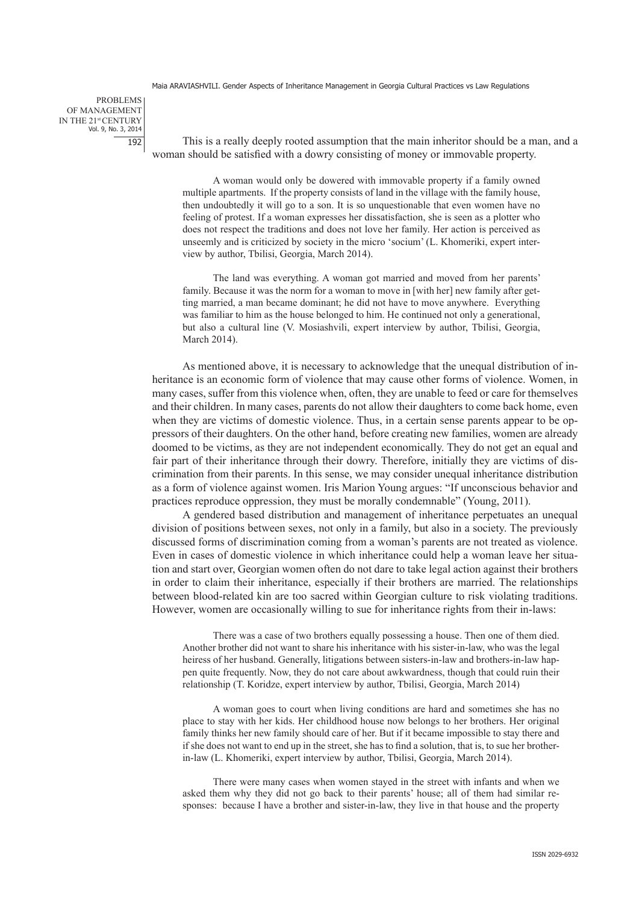problems of Management IN THE 21st CENTURY Vol. 9, No. 3, 2014 192

This is a really deeply rooted assumption that the main inheritor should be a man, and a woman should be satisfied with a dowry consisting of money or immovable property.

A woman would only be dowered with immovable property if a family owned multiple apartments. If the property consists of land in the village with the family house, then undoubtedly it will go to a son. It is so unquestionable that even women have no feeling of protest. If a woman expresses her dissatisfaction, she is seen as a plotter who does not respect the traditions and does not love her family. Her action is perceived as unseemly and is criticized by society in the micro 'socium' (L. Khomeriki, expert interview by author, Tbilisi, Georgia, March 2014).

The land was everything. A woman got married and moved from her parents' family. Because it was the norm for a woman to move in [with her] new family after getting married, a man became dominant; he did not have to move anywhere. Everything was familiar to him as the house belonged to him. He continued not only a generational, but also a cultural line (V. Mosiashvili, expert interview by author, Tbilisi, Georgia, March 2014).

As mentioned above, it is necessary to acknowledge that the unequal distribution of inheritance is an economic form of violence that may cause other forms of violence. Women, in many cases, suffer from this violence when, often, they are unable to feed or care for themselves and their children. In many cases, parents do not allow their daughters to come back home, even when they are victims of domestic violence. Thus, in a certain sense parents appear to be oppressors of their daughters. On the other hand, before creating new families, women are already doomed to be victims, as they are not independent economically. They do not get an equal and fair part of their inheritance through their dowry. Therefore, initially they are victims of discrimination from their parents. In this sense, we may consider unequal inheritance distribution as a form of violence against women. Iris Marion Young argues: "If unconscious behavior and practices reproduce oppression, they must be morally condemnable" (Young, 2011).

A gendered based distribution and management of inheritance perpetuates an unequal division of positions between sexes, not only in a family, but also in a society. The previously discussed forms of discrimination coming from a woman's parents are not treated as violence. Even in cases of domestic violence in which inheritance could help a woman leave her situation and start over, Georgian women often do not dare to take legal action against their brothers in order to claim their inheritance, especially if their brothers are married. The relationships between blood-related kin are too sacred within Georgian culture to risk violating traditions. However, women are occasionally willing to sue for inheritance rights from their in-laws:

There was a case of two brothers equally possessing a house. Then one of them died. Another brother did not want to share his inheritance with his sister-in-law, who was the legal heiress of her husband. Generally, litigations between sisters-in-law and brothers-in-law happen quite frequently. Now, they do not care about awkwardness, though that could ruin their relationship (T. Koridze, expert interview by author, Tbilisi, Georgia, March 2014)

A woman goes to court when living conditions are hard and sometimes she has no place to stay with her kids. Her childhood house now belongs to her brothers. Her original family thinks her new family should care of her. But if it became impossible to stay there and if she does not want to end up in the street, she has to find a solution, that is, to sue her brotherin-law (L. Khomeriki, expert interview by author, Tbilisi, Georgia, March 2014).

There were many cases when women stayed in the street with infants and when we asked them why they did not go back to their parents' house; all of them had similar responses: because I have a brother and sister-in-law, they live in that house and the property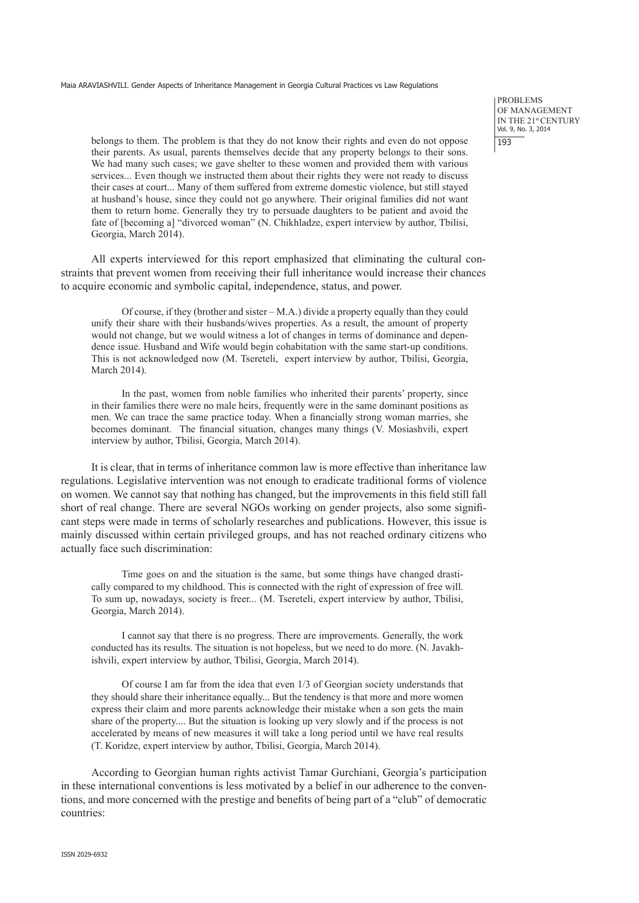belongs to them. The problem is that they do not know their rights and even do not oppose their parents. As usual, parents themselves decide that any property belongs to their sons. We had many such cases; we gave shelter to these women and provided them with various services... Even though we instructed them about their rights they were not ready to discuss their cases at court... Many of them suffered from extreme domestic violence, but still stayed at husband's house, since they could not go anywhere. Their original families did not want them to return home. Generally they try to persuade daughters to be patient and avoid the fate of [becoming a] "divorced woman" (N. Chikhladze, expert interview by author, Tbilisi, Georgia, March 2014).

All experts interviewed for this report emphasized that eliminating the cultural constraints that prevent women from receiving their full inheritance would increase their chances to acquire economic and symbolic capital, independence, status, and power.

Of course, if they (brother and sister – M.A.) divide a property equally than they could unify their share with their husbands/wives properties. As a result, the amount of property would not change, but we would witness a lot of changes in terms of dominance and dependence issue. Husband and Wife would begin cohabitation with the same start-up conditions. This is not acknowledged now (M. Tsereteli, expert interview by author, Tbilisi, Georgia, March 2014).

In the past, women from noble families who inherited their parents' property, since in their families there were no male heirs, frequently were in the same dominant positions as men. We can trace the same practice today. When a financially strong woman marries, she becomes dominant. The financial situation, changes many things (V. Mosiashvili, expert interview by author, Tbilisi, Georgia, March 2014).

It is clear, that in terms of inheritance common law is more effective than inheritance law regulations. Legislative intervention was not enough to eradicate traditional forms of violence on women. We cannot say that nothing has changed, but the improvements in this field still fall short of real change. There are several NGOs working on gender projects, also some significant steps were made in terms of scholarly researches and publications. However, this issue is mainly discussed within certain privileged groups, and has not reached ordinary citizens who actually face such discrimination:

Time goes on and the situation is the same, but some things have changed drastically compared to my childhood. This is connected with the right of expression of free will. To sum up, nowadays, society is freer... (M. Tsereteli, expert interview by author, Tbilisi, Georgia, March 2014).

I cannot say that there is no progress. There are improvements. Generally, the work conducted has its results. The situation is not hopeless, but we need to do more. (N. Javakhishvili, expert interview by author, Tbilisi, Georgia, March 2014).

Of course I am far from the idea that even 1/3 of Georgian society understands that they should share their inheritance equally... But the tendency is that more and more women express their claim and more parents acknowledge their mistake when a son gets the main share of the property.... But the situation is looking up very slowly and if the process is not accelerated by means of new measures it will take a long period until we have real results (T. Koridze, expert interview by author, Tbilisi, Georgia, March 2014).

According to Georgian human rights activist Tamar Gurchiani, Georgia's participation in these international conventions is less motivated by a belief in our adherence to the conventions, and more concerned with the prestige and benefits of being part of a "club" of democratic countries:

problems of Management IN THE 21st CENTURY Vol. 9, No. 3, 2014 193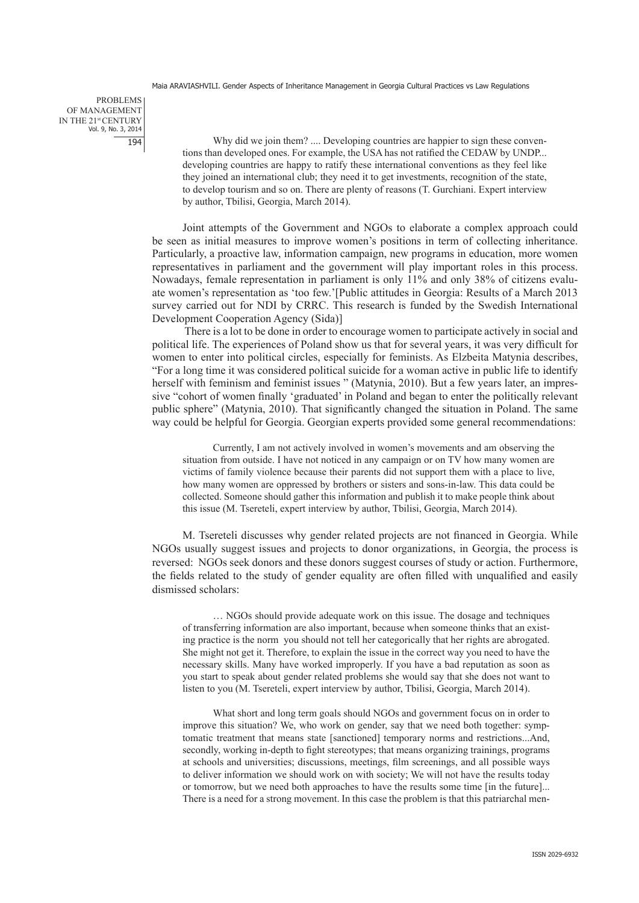problems of Management IN THE 21st CENTURY Vol. 9, No. 3, 2014 194

Why did we join them? .... Developing countries are happier to sign these conventions than developed ones. For example, the USA has not ratified the CEDAW by UNDP... developing countries are happy to ratify these international conventions as they feel like they joined an international club; they need it to get investments, recognition of the state, to develop tourism and so on. There are plenty of reasons (T. Gurchiani. Expert interview by author, Tbilisi, Georgia, March 2014).

Joint attempts of the Government and NGOs to elaborate a complex approach could be seen as initial measures to improve women's positions in term of collecting inheritance. Particularly, a proactive law, information campaign, new programs in education, more women representatives in parliament and the government will play important roles in this process. Nowadays, female representation in parliament is only 11% and only 38% of citizens evaluate women's representation as 'too few.'[Public attitudes in Georgia: Results of a March 2013 survey carried out for NDI by CRRC. This research is funded by the Swedish International Development Cooperation Agency (Sida)]

There is a lot to be done in order to encourage women to participate actively in social and political life. The experiences of Poland show us that for several years, it was very difficult for women to enter into political circles, especially for feminists. As Elzbeita Matynia describes, "For a long time it was considered political suicide for a woman active in public life to identify herself with feminism and feminist issues " (Matynia, 2010). But a few years later, an impressive "cohort of women finally 'graduated' in Poland and began to enter the politically relevant public sphere" (Matynia, 2010). That significantly changed the situation in Poland. The same way could be helpful for Georgia. Georgian experts provided some general recommendations:

Currently, I am not actively involved in women's movements and am observing the situation from outside. I have not noticed in any campaign or on TV how many women are victims of family violence because their parents did not support them with a place to live, how many women are oppressed by brothers or sisters and sons-in-law. This data could be collected. Someone should gather this information and publish it to make people think about this issue (M. Tsereteli, expert interview by author, Tbilisi, Georgia, March 2014).

M. Tsereteli discusses why gender related projects are not financed in Georgia. While NGOs usually suggest issues and projects to donor organizations, in Georgia, the process is reversed: NGOs seek donors and these donors suggest courses of study or action. Furthermore, the fields related to the study of gender equality are often filled with unqualified and easily dismissed scholars:

… NGOs should provide adequate work on this issue. The dosage and techniques of transferring information are also important, because when someone thinks that an existing practice is the norm you should not tell her categorically that her rights are abrogated. She might not get it. Therefore, to explain the issue in the correct way you need to have the necessary skills. Many have worked improperly. If you have a bad reputation as soon as you start to speak about gender related problems she would say that she does not want to listen to you (M. Tsereteli, expert interview by author, Tbilisi, Georgia, March 2014).

What short and long term goals should NGOs and government focus on in order to improve this situation? We, who work on gender, say that we need both together: symptomatic treatment that means state [sanctioned] temporary norms and restrictions...And, secondly, working in-depth to fight stereotypes; that means organizing trainings, programs at schools and universities; discussions, meetings, film screenings, and all possible ways to deliver information we should work on with society; We will not have the results today or tomorrow, but we need both approaches to have the results some time [in the future]... There is a need for a strong movement. In this case the problem is that this patriarchal men-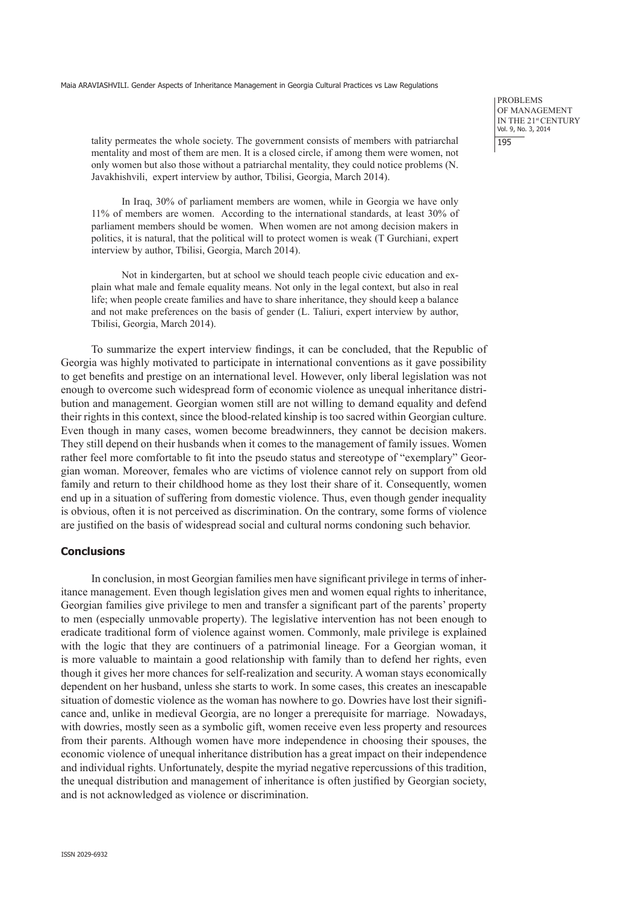problems of Management IN THE 21st CENTURY Vol. 9, No. 3, 2014 195

tality permeates the whole society. The government consists of members with patriarchal mentality and most of them are men. It is a closed circle, if among them were women, not only women but also those without a patriarchal mentality, they could notice problems (N. Javakhishvili, expert interview by author, Tbilisi, Georgia, March 2014).

In Iraq, 30% of parliament members are women, while in Georgia we have only 11% of members are women. According to the international standards, at least 30% of parliament members should be women. When women are not among decision makers in politics, it is natural, that the political will to protect women is weak (T Gurchiani, expert interview by author, Tbilisi, Georgia, March 2014).

Not in kindergarten, but at school we should teach people civic education and explain what male and female equality means. Not only in the legal context, but also in real life; when people create families and have to share inheritance, they should keep a balance and not make preferences on the basis of gender (L. Taliuri, expert interview by author, Tbilisi, Georgia, March 2014).

To summarize the expert interview findings, it can be concluded, that the Republic of Georgia was highly motivated to participate in international conventions as it gave possibility to get benefits and prestige on an international level. However, only liberal legislation was not enough to overcome such widespread form of economic violence as unequal inheritance distribution and management. Georgian women still are not willing to demand equality and defend their rights in this context, since the blood-related kinship is too sacred within Georgian culture. Even though in many cases, women become breadwinners, they cannot be decision makers. They still depend on their husbands when it comes to the management of family issues. Women rather feel more comfortable to fit into the pseudo status and stereotype of "exemplary" Georgian woman. Moreover, females who are victims of violence cannot rely on support from old family and return to their childhood home as they lost their share of it. Consequently, women end up in a situation of suffering from domestic violence. Thus, even though gender inequality is obvious, often it is not perceived as discrimination. On the contrary, some forms of violence are justified on the basis of widespread social and cultural norms condoning such behavior.

#### **Conclusions**

In conclusion, in most Georgian families men have significant privilege in terms of inheritance management. Even though legislation gives men and women equal rights to inheritance, Georgian families give privilege to men and transfer a significant part of the parents' property to men (especially unmovable property). The legislative intervention has not been enough to eradicate traditional form of violence against women. Commonly, male privilege is explained with the logic that they are continuers of a patrimonial lineage. For a Georgian woman, it is more valuable to maintain a good relationship with family than to defend her rights, even though it gives her more chances for self-realization and security. A woman stays economically dependent on her husband, unless she starts to work. In some cases, this creates an inescapable situation of domestic violence as the woman has nowhere to go. Dowries have lost their significance and, unlike in medieval Georgia, are no longer a prerequisite for marriage. Nowadays, with dowries, mostly seen as a symbolic gift, women receive even less property and resources from their parents. Although women have more independence in choosing their spouses, the economic violence of unequal inheritance distribution has a great impact on their independence and individual rights. Unfortunately, despite the myriad negative repercussions of this tradition, the unequal distribution and management of inheritance is often justified by Georgian society, and is not acknowledged as violence or discrimination.